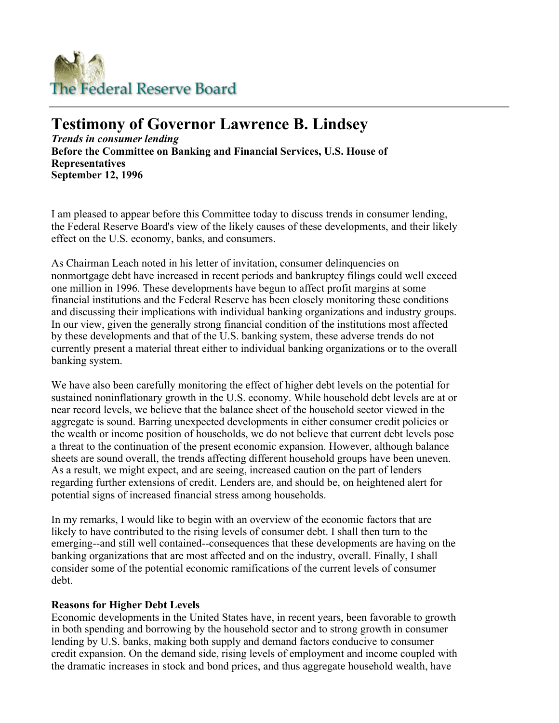

# **Testimony of Governor Lawrence B. Lindsey**

*Trends in consumer lending* **Before the Committee on Banking and Financial Services, U.S. House of Representatives September 12, 1996** 

I am pleased to appear before this Committee today to discuss trends in consumer lending, the Federal Reserve Board's view of the likely causes of these developments, and their likely effect on the U.S. economy, banks, and consumers.

As Chairman Leach noted in his letter of invitation, consumer delinquencies on nonmortgage debt have increased in recent periods and bankruptcy filings could well exceed one million in 1996. These developments have begun to affect profit margins at some financial institutions and the Federal Reserve has been closely monitoring these conditions and discussing their implications with individual banking organizations and industry groups. In our view, given the generally strong financial condition of the institutions most affected by these developments and that of the U.S. banking system, these adverse trends do not currently present a material threat either to individual banking organizations or to the overall banking system.

We have also been carefully monitoring the effect of higher debt levels on the potential for sustained noninflationary growth in the U.S. economy. While household debt levels are at or near record levels, we believe that the balance sheet of the household sector viewed in the aggregate is sound. Barring unexpected developments in either consumer credit policies or the wealth or income position of households, we do not believe that current debt levels pose a threat to the continuation of the present economic expansion. However, although balance sheets are sound overall, the trends affecting different household groups have been uneven. As a result, we might expect, and are seeing, increased caution on the part of lenders regarding further extensions of credit. Lenders are, and should be, on heightened alert for potential signs of increased financial stress among households.

In my remarks, I would like to begin with an overview of the economic factors that are likely to have contributed to the rising levels of consumer debt. I shall then turn to the emerging--and still well contained--consequences that these developments are having on the banking organizations that are most affected and on the industry, overall. Finally, I shall consider some of the potential economic ramifications of the current levels of consumer debt.

### **Reasons for Higher Debt Levels**

Economic developments in the United States have, in recent years, been favorable to growth in both spending and borrowing by the household sector and to strong growth in consumer lending by U.S. banks, making both supply and demand factors conducive to consumer credit expansion. On the demand side, rising levels of employment and income coupled with the dramatic increases in stock and bond prices, and thus aggregate household wealth, have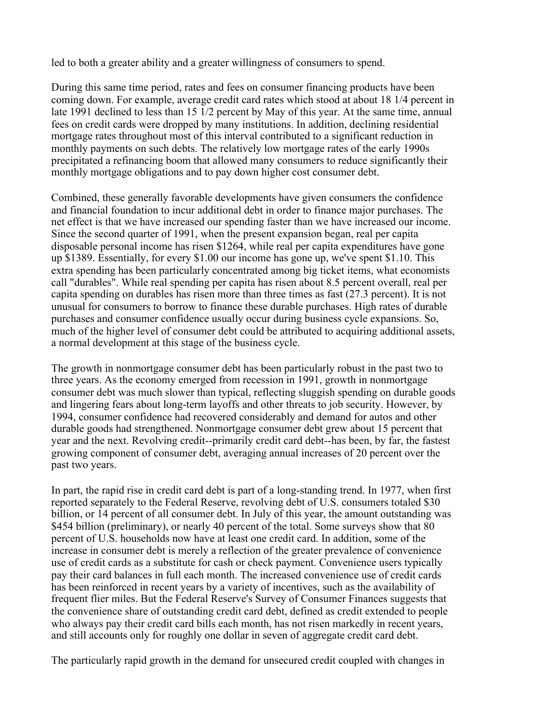led to both a greater ability and a greater willingness of consumers to spend.

During this same time period, rates and fees on consumer financing products have been coming down. For example, average credit card rates which stood at about 18 1/4 percent in late 1991 declined to less than 15 1/2 percent by May of this year. At the same time, annual fees on credit cards were dropped by many institutions. In addition, declining residential mortgage rates throughout most of this interval contributed to a significant reduction in monthly payments on such debts. The relatively low mortgage rates of the early 1990s precipitated a refinancing boom that allowed many consumers to reduce significantly their monthly mortgage obligations and to pay down higher cost consumer debt.

Combined, these generally favorable developments have given consumers the confidence and financial foundation to incur additional debt in order to finance major purchases. The net effect is that we have increased our spending faster than we have increased our income. Since the second quarter of 1991, when the present expansion began, real per capita disposable personal income has risen \$1264, while real per capita expenditures have gone up \$1389. Essentially, for every \$1.00 our income has gone up, we've spent \$1.10. This extra spending has been particularly concentrated among big ticket items, what economists call "durables". While real spending per capita has risen about 8.5 percent overall, real per capita spending on durables has risen more than three times as fast (27.3 percent). It is not unusual for consumers to borrow to finance these durable purchases. High rates of durable purchases and consumer confidence usually occur during business cycle expansions. So, much of the higher level of consumer debt could be attributed to acquiring additional assets, a normal development at this stage of the business cycle.

The growth in nonmortgage consumer debt has been particularly robust in the past two to three years. As the economy emerged from recession in 1991, growth in nonmortgage consumer debt was much slower than typical, reflecting sluggish spending on durable goods and lingering fears about long-term layoffs and other threats to job security. However, by 1994, consumer confidence had recovered considerably and demand for autos and other durable goods had strengthened. Nonmortgage consumer debt grew about 15 percent that year and the next. Revolving credit--primarily credit card debt--has been, by far, the fastest growing component of consumer debt, averaging annual increases of 20 percent over the past two years.

In part, the rapid rise in credit card debt is part of a long-standing trend. In 1977, when first reported separately to the Federal Reserve, revolving debt of U.S. consumers totaled \$30 billion, or 14 percent of all consumer debt. In July of this year, the amount outstanding was \$454 billion (preliminary), or nearly 40 percent of the total. Some surveys show that 80 percent of U.S. households now have at least one credit card. In addition, some of the increase in consumer debt is merely a reflection of the greater prevalence of convenience use of credit cards as a substitute for cash or check payment. Convenience users typically pay their card balances in full each month. The increased convenience use of credit cards has been reinforced in recent years by a variety of incentives, such as the availability of frequent flier miles. But the Federal Reserve's Survey of Consumer Finances suggests that the convenience share of outstanding credit card debt, defined as credit extended to people who always pay their credit card bills each month, has not risen markedly in recent years, and still accounts only for roughly one dollar in seven of aggregate credit card debt.

The particularly rapid growth in the demand for unsecured credit coupled with changes in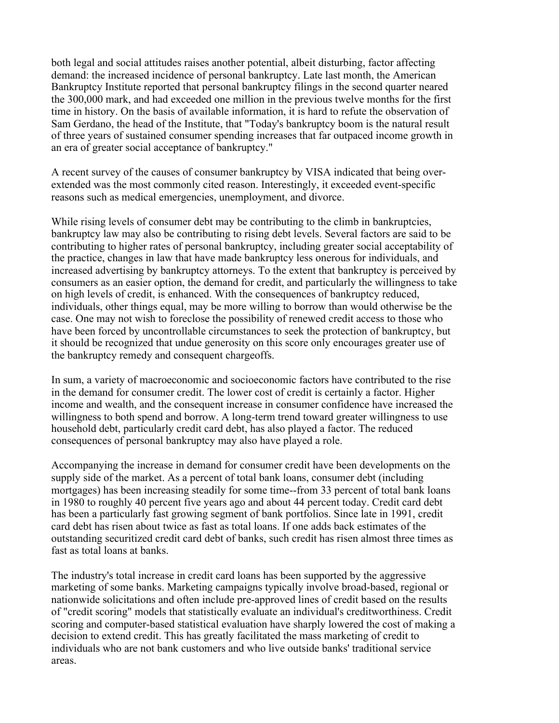both legal and social attitudes raises another potential, albeit disturbing, factor affecting demand: the increased incidence of personal bankruptcy. Late last month, the American Bankruptcy Institute reported that personal bankruptcy filings in the second quarter neared the 300,000 mark, and had exceeded one million in the previous twelve months for the first time in history. On the basis of available information, it is hard to refute the observation of Sam Gerdano, the head of the Institute, that "Today's bankruptcy boom is the natural result of three years of sustained consumer spending increases that far outpaced income growth in an era of greater social acceptance of bankruptcy."

A recent survey of the causes of consumer bankruptcy by VISA indicated that being overextended was the most commonly cited reason. Interestingly, it exceeded event-specific reasons such as medical emergencies, unemployment, and divorce.

While rising levels of consumer debt may be contributing to the climb in bankruptcies, bankruptcy law may also be contributing to rising debt levels. Several factors are said to be contributing to higher rates of personal bankruptcy, including greater social acceptability of the practice, changes in law that have made bankruptcy less onerous for individuals, and increased advertising by bankruptcy attorneys. To the extent that bankruptcy is perceived by consumers as an easier option, the demand for credit, and particularly the willingness to take on high levels of credit, is enhanced. With the consequences of bankruptcy reduced, individuals, other things equal, may be more willing to borrow than would otherwise be the case. One may not wish to foreclose the possibility of renewed credit access to those who have been forced by uncontrollable circumstances to seek the protection of bankruptcy, but it should be recognized that undue generosity on this score only encourages greater use of the bankruptcy remedy and consequent chargeoffs.

In sum, a variety of macroeconomic and socioeconomic factors have contributed to the rise in the demand for consumer credit. The lower cost of credit is certainly a factor. Higher income and wealth, and the consequent increase in consumer confidence have increased the willingness to both spend and borrow. A long-term trend toward greater willingness to use household debt, particularly credit card debt, has also played a factor. The reduced consequences of personal bankruptcy may also have played a role.

Accompanying the increase in demand for consumer credit have been developments on the supply side of the market. As a percent of total bank loans, consumer debt (including mortgages) has been increasing steadily for some time--from 33 percent of total bank loans in 1980 to roughly 40 percent five years ago and about 44 percent today. Credit card debt has been a particularly fast growing segment of bank portfolios. Since late in 1991, credit card debt has risen about twice as fast as total loans. If one adds back estimates of the outstanding securitized credit card debt of banks, such credit has risen almost three times as fast as total loans at banks.

The industry's total increase in credit card loans has been supported by the aggressive marketing of some banks. Marketing campaigns typically involve broad-based, regional or nationwide solicitations and often include pre-approved lines of credit based on the results of "credit scoring" models that statistically evaluate an individual's creditworthiness. Credit scoring and computer-based statistical evaluation have sharply lowered the cost of making a decision to extend credit. This has greatly facilitated the mass marketing of credit to individuals who are not bank customers and who live outside banks' traditional service areas.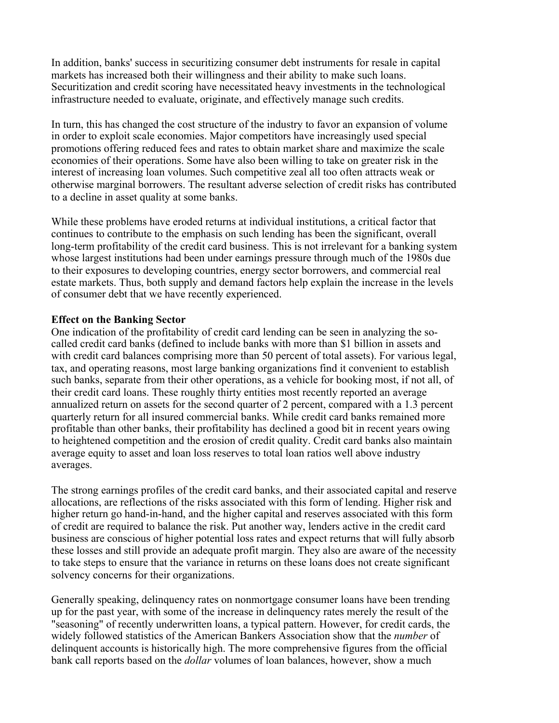In addition, banks' success in securitizing consumer debt instruments for resale in capital markets has increased both their willingness and their ability to make such loans. Securitization and credit scoring have necessitated heavy investments in the technological infrastructure needed to evaluate, originate, and effectively manage such credits.

In turn, this has changed the cost structure of the industry to favor an expansion of volume in order to exploit scale economies. Major competitors have increasingly used special promotions offering reduced fees and rates to obtain market share and maximize the scale economies of their operations. Some have also been willing to take on greater risk in the interest of increasing loan volumes. Such competitive zeal all too often attracts weak or otherwise marginal borrowers. The resultant adverse selection of credit risks has contributed to a decline in asset quality at some banks.

While these problems have eroded returns at individual institutions, a critical factor that continues to contribute to the emphasis on such lending has been the significant, overall long-term profitability of the credit card business. This is not irrelevant for a banking system whose largest institutions had been under earnings pressure through much of the 1980s due to their exposures to developing countries, energy sector borrowers, and commercial real estate markets. Thus, both supply and demand factors help explain the increase in the levels of consumer debt that we have recently experienced.

#### **Effect on the Banking Sector**

One indication of the profitability of credit card lending can be seen in analyzing the socalled credit card banks (defined to include banks with more than \$1 billion in assets and with credit card balances comprising more than 50 percent of total assets). For various legal, tax, and operating reasons, most large banking organizations find it convenient to establish such banks, separate from their other operations, as a vehicle for booking most, if not all, of their credit card loans. These roughly thirty entities most recently reported an average annualized return on assets for the second quarter of 2 percent, compared with a 1.3 percent quarterly return for all insured commercial banks. While credit card banks remained more profitable than other banks, their profitability has declined a good bit in recent years owing to heightened competition and the erosion of credit quality. Credit card banks also maintain average equity to asset and loan loss reserves to total loan ratios well above industry averages.

The strong earnings profiles of the credit card banks, and their associated capital and reserve allocations, are reflections of the risks associated with this form of lending. Higher risk and higher return go hand-in-hand, and the higher capital and reserves associated with this form of credit are required to balance the risk. Put another way, lenders active in the credit card business are conscious of higher potential loss rates and expect returns that will fully absorb these losses and still provide an adequate profit margin. They also are aware of the necessity to take steps to ensure that the variance in returns on these loans does not create significant solvency concerns for their organizations.

Generally speaking, delinquency rates on nonmortgage consumer loans have been trending up for the past year, with some of the increase in delinquency rates merely the result of the "seasoning" of recently underwritten loans, a typical pattern. However, for credit cards, the widely followed statistics of the American Bankers Association show that the *number* of delinquent accounts is historically high. The more comprehensive figures from the official bank call reports based on the *dollar* volumes of loan balances, however, show a much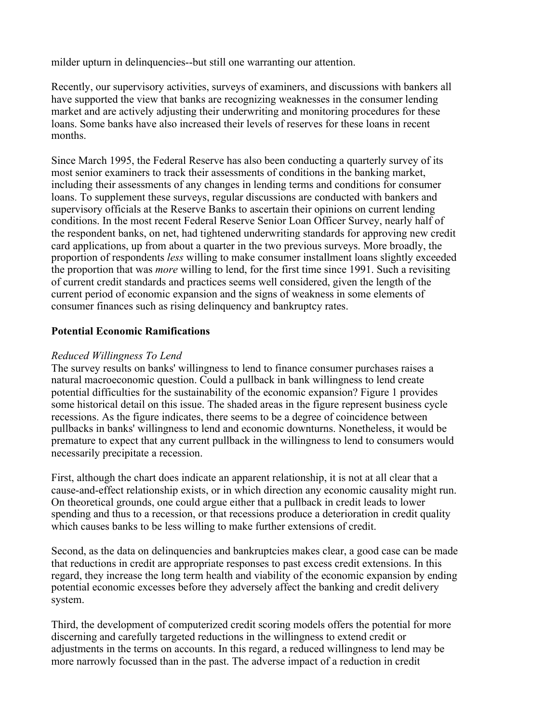milder upturn in delinquencies--but still one warranting our attention.

Recently, our supervisory activities, surveys of examiners, and discussions with bankers all have supported the view that banks are recognizing weaknesses in the consumer lending market and are actively adjusting their underwriting and monitoring procedures for these loans. Some banks have also increased their levels of reserves for these loans in recent months.

Since March 1995, the Federal Reserve has also been conducting a quarterly survey of its most senior examiners to track their assessments of conditions in the banking market, including their assessments of any changes in lending terms and conditions for consumer loans. To supplement these surveys, regular discussions are conducted with bankers and supervisory officials at the Reserve Banks to ascertain their opinions on current lending conditions. In the most recent Federal Reserve Senior Loan Officer Survey, nearly half of the respondent banks, on net, had tightened underwriting standards for approving new credit card applications, up from about a quarter in the two previous surveys. More broadly, the proportion of respondents *less* willing to make consumer installment loans slightly exceeded the proportion that was *more* willing to lend, for the first time since 1991. Such a revisiting of current credit standards and practices seems well considered, given the length of the current period of economic expansion and the signs of weakness in some elements of consumer finances such as rising delinquency and bankruptcy rates.

## **Potential Economic Ramifications**

### *Reduced Willingness To Lend*

The survey results on banks' willingness to lend to finance consumer purchases raises a natural macroeconomic question. Could a pullback in bank willingness to lend create potential difficulties for the sustainability of the economic expansion? Figure 1 provides some historical detail on this issue. The shaded areas in the figure represent business cycle recessions. As the figure indicates, there seems to be a degree of coincidence between pullbacks in banks' willingness to lend and economic downturns. Nonetheless, it would be premature to expect that any current pullback in the willingness to lend to consumers would necessarily precipitate a recession.

First, although the chart does indicate an apparent relationship, it is not at all clear that a cause-and-effect relationship exists, or in which direction any economic causality might run. On theoretical grounds, one could argue either that a pullback in credit leads to lower spending and thus to a recession, or that recessions produce a deterioration in credit quality which causes banks to be less willing to make further extensions of credit.

Second, as the data on delinquencies and bankruptcies makes clear, a good case can be made that reductions in credit are appropriate responses to past excess credit extensions. In this regard, they increase the long term health and viability of the economic expansion by ending potential economic excesses before they adversely affect the banking and credit delivery system.

Third, the development of computerized credit scoring models offers the potential for more discerning and carefully targeted reductions in the willingness to extend credit or adjustments in the terms on accounts. In this regard, a reduced willingness to lend may be more narrowly focussed than in the past. The adverse impact of a reduction in credit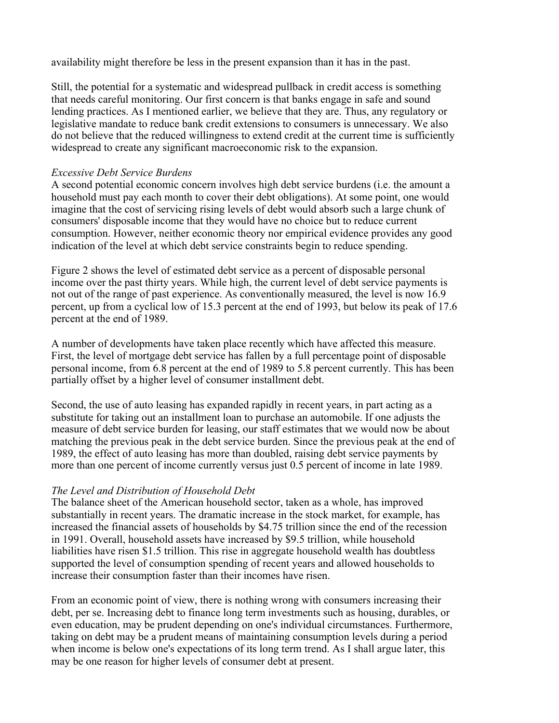availability might therefore be less in the present expansion than it has in the past.

Still, the potential for a systematic and widespread pullback in credit access is something that needs careful monitoring. Our first concern is that banks engage in safe and sound lending practices. As I mentioned earlier, we believe that they are. Thus, any regulatory or legislative mandate to reduce bank credit extensions to consumers is unnecessary. We also do not believe that the reduced willingness to extend credit at the current time is sufficiently widespread to create any significant macroeconomic risk to the expansion.

#### *Excessive Debt Service Burdens*

A second potential economic concern involves high debt service burdens (i.e. the amount a household must pay each month to cover their debt obligations). At some point, one would imagine that the cost of servicing rising levels of debt would absorb such a large chunk of consumers' disposable income that they would have no choice but to reduce current consumption. However, neither economic theory nor empirical evidence provides any good indication of the level at which debt service constraints begin to reduce spending.

Figure 2 shows the level of estimated debt service as a percent of disposable personal income over the past thirty years. While high, the current level of debt service payments is not out of the range of past experience. As conventionally measured, the level is now 16.9 percent, up from a cyclical low of 15.3 percent at the end of 1993, but below its peak of 17.6 percent at the end of 1989.

A number of developments have taken place recently which have affected this measure. First, the level of mortgage debt service has fallen by a full percentage point of disposable personal income, from 6.8 percent at the end of 1989 to 5.8 percent currently. This has been partially offset by a higher level of consumer installment debt.

Second, the use of auto leasing has expanded rapidly in recent years, in part acting as a substitute for taking out an installment loan to purchase an automobile. If one adjusts the measure of debt service burden for leasing, our staff estimates that we would now be about matching the previous peak in the debt service burden. Since the previous peak at the end of 1989, the effect of auto leasing has more than doubled, raising debt service payments by more than one percent of income currently versus just 0.5 percent of income in late 1989.

### *The Level and Distribution of Household Debt*

The balance sheet of the American household sector, taken as a whole, has improved substantially in recent years. The dramatic increase in the stock market, for example, has increased the financial assets of households by \$4.75 trillion since the end of the recession in 1991. Overall, household assets have increased by \$9.5 trillion, while household liabilities have risen \$1.5 trillion. This rise in aggregate household wealth has doubtless supported the level of consumption spending of recent years and allowed households to increase their consumption faster than their incomes have risen.

From an economic point of view, there is nothing wrong with consumers increasing their debt, per se. Increasing debt to finance long term investments such as housing, durables, or even education, may be prudent depending on one's individual circumstances. Furthermore, taking on debt may be a prudent means of maintaining consumption levels during a period when income is below one's expectations of its long term trend. As I shall argue later, this may be one reason for higher levels of consumer debt at present.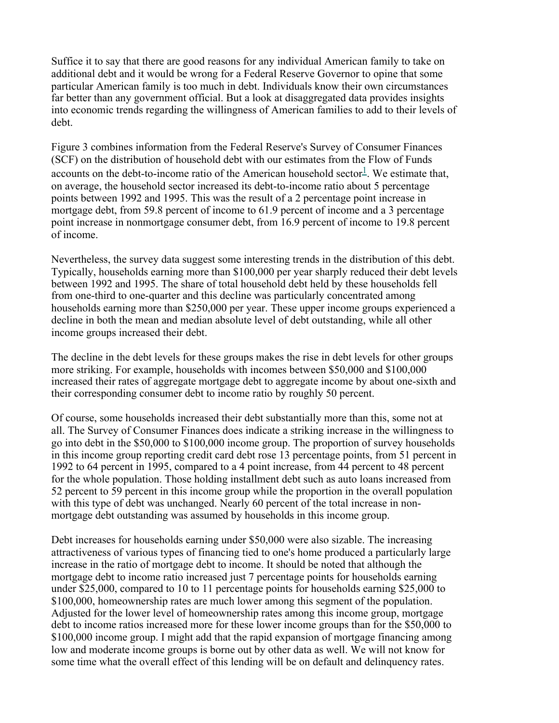Suffice it to say that there are good reasons for any individual American family to take on additional debt and it would be wrong for a Federal Reserve Governor to opine that some particular American family is too much in debt. Individuals know their own circumstances far better than any government official. But a look at disaggregated data provides insights into economic trends regarding the willingness of American families to add to their levels of debt.

Figure 3 combines information from the Federal Reserve's Survey of Consumer Finances (SCF) on the distribution of household debt with our estimates from the Flow of Funds accounts on the debt-to-income ratio of the American household sector<sup>1</sup>. We estimate that, on average, the household sector increased its debt-to-income ratio about 5 percentage points between 1992 and 1995. This was the result of a 2 percentage point increase in mortgage debt, from 59.8 percent of income to 61.9 percent of income and a 3 percentage point increase in nonmortgage consumer debt, from 16.9 percent of income to 19.8 percent of income.

Nevertheless, the survey data suggest some interesting trends in the distribution of this debt. Typically, households earning more than \$100,000 per year sharply reduced their debt levels between 1992 and 1995. The share of total household debt held by these households fell from one-third to one-quarter and this decline was particularly concentrated among households earning more than \$250,000 per year. These upper income groups experienced a decline in both the mean and median absolute level of debt outstanding, while all other income groups increased their debt.

The decline in the debt levels for these groups makes the rise in debt levels for other groups more striking. For example, households with incomes between \$50,000 and \$100,000 increased their rates of aggregate mortgage debt to aggregate income by about one-sixth and their corresponding consumer debt to income ratio by roughly 50 percent.

Of course, some households increased their debt substantially more than this, some not at all. The Survey of Consumer Finances does indicate a striking increase in the willingness to go into debt in the \$50,000 to \$100,000 income group. The proportion of survey households in this income group reporting credit card debt rose 13 percentage points, from 51 percent in 1992 to 64 percent in 1995, compared to a 4 point increase, from 44 percent to 48 percent for the whole population. Those holding installment debt such as auto loans increased from 52 percent to 59 percent in this income group while the proportion in the overall population with this type of debt was unchanged. Nearly 60 percent of the total increase in nonmortgage debt outstanding was assumed by households in this income group.

Debt increases for households earning under \$50,000 were also sizable. The increasing attractiveness of various types of financing tied to one's home produced a particularly large increase in the ratio of mortgage debt to income. It should be noted that although the mortgage debt to income ratio increased just 7 percentage points for households earning under \$25,000, compared to 10 to 11 percentage points for households earning \$25,000 to \$100,000, homeownership rates are much lower among this segment of the population. Adjusted for the lower level of homeownership rates among this income group, mortgage debt to income ratios increased more for these lower income groups than for the \$50,000 to \$100,000 income group. I might add that the rapid expansion of mortgage financing among low and moderate income groups is borne out by other data as well. We will not know for some time what the overall effect of this lending will be on default and delinquency rates.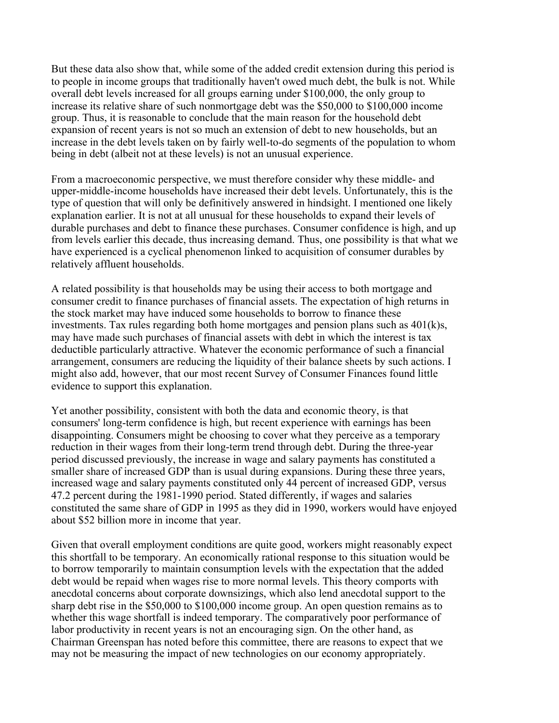But these data also show that, while some of the added credit extension during this period is to people in income groups that traditionally haven't owed much debt, the bulk is not. While overall debt levels increased for all groups earning under \$100,000, the only group to increase its relative share of such nonmortgage debt was the \$50,000 to \$100,000 income group. Thus, it is reasonable to conclude that the main reason for the household debt expansion of recent years is not so much an extension of debt to new households, but an increase in the debt levels taken on by fairly well-to-do segments of the population to whom being in debt (albeit not at these levels) is not an unusual experience.

From a macroeconomic perspective, we must therefore consider why these middle- and upper-middle-income households have increased their debt levels. Unfortunately, this is the type of question that will only be definitively answered in hindsight. I mentioned one likely explanation earlier. It is not at all unusual for these households to expand their levels of durable purchases and debt to finance these purchases. Consumer confidence is high, and up from levels earlier this decade, thus increasing demand. Thus, one possibility is that what we have experienced is a cyclical phenomenon linked to acquisition of consumer durables by relatively affluent households.

A related possibility is that households may be using their access to both mortgage and consumer credit to finance purchases of financial assets. The expectation of high returns in the stock market may have induced some households to borrow to finance these investments. Tax rules regarding both home mortgages and pension plans such as 401(k)s, may have made such purchases of financial assets with debt in which the interest is tax deductible particularly attractive. Whatever the economic performance of such a financial arrangement, consumers are reducing the liquidity of their balance sheets by such actions. I might also add, however, that our most recent Survey of Consumer Finances found little evidence to support this explanation.

Yet another possibility, consistent with both the data and economic theory, is that consumers' long-term confidence is high, but recent experience with earnings has been disappointing. Consumers might be choosing to cover what they perceive as a temporary reduction in their wages from their long-term trend through debt. During the three-year period discussed previously, the increase in wage and salary payments has constituted a smaller share of increased GDP than is usual during expansions. During these three years, increased wage and salary payments constituted only 44 percent of increased GDP, versus 47.2 percent during the 1981-1990 period. Stated differently, if wages and salaries constituted the same share of GDP in 1995 as they did in 1990, workers would have enjoyed about \$52 billion more in income that year.

Given that overall employment conditions are quite good, workers might reasonably expect this shortfall to be temporary. An economically rational response to this situation would be to borrow temporarily to maintain consumption levels with the expectation that the added debt would be repaid when wages rise to more normal levels. This theory comports with anecdotal concerns about corporate downsizings, which also lend anecdotal support to the sharp debt rise in the \$50,000 to \$100,000 income group. An open question remains as to whether this wage shortfall is indeed temporary. The comparatively poor performance of labor productivity in recent years is not an encouraging sign. On the other hand, as Chairman Greenspan has noted before this committee, there are reasons to expect that we may not be measuring the impact of new technologies on our economy appropriately.